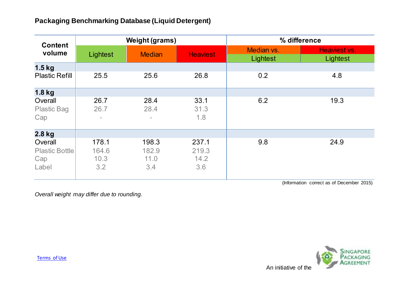## **Packaging Benchmarking Database (Liquid Detergent)**

| <b>Content</b><br>volume                         |                               | <b>Weight (grams)</b>         |                               | % difference           |                          |
|--------------------------------------------------|-------------------------------|-------------------------------|-------------------------------|------------------------|--------------------------|
|                                                  | Lightest                      | <b>Median</b>                 | <b>Heaviest</b>               | Median vs.<br>Lightest | Heaviest vs.<br>Lightest |
| $1.5$ kg                                         |                               |                               |                               |                        |                          |
| <b>Plastic Refill</b>                            | 25.5                          | 25.6                          | 26.8                          | 0.2                    | 4.8                      |
| 1.8 kg                                           |                               |                               |                               |                        |                          |
| Overall<br><b>Plastic Bag</b><br>Cap             | 26.7<br>26.7                  | 28.4<br>28.4<br>$\equiv$      | 33.1<br>31.3<br>1.8           | 6.2                    | 19.3                     |
| 2.8 kg                                           |                               |                               |                               |                        |                          |
| Overall<br><b>Plastic Bottle</b><br>Cap<br>Label | 178.1<br>164.6<br>10.3<br>3.2 | 198.3<br>182.9<br>11.0<br>3.4 | 237.1<br>219.3<br>14.2<br>3.6 | 9.8                    | 24.9                     |

(Information correct as of December 2015)

*Overall weight may differ due to rounding.*

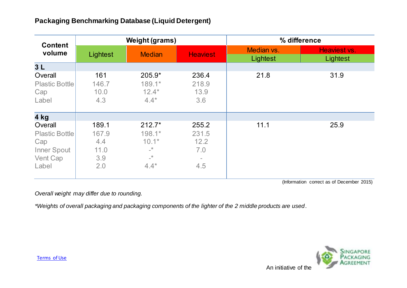## **Packaging Benchmarking Database (Liquid Detergent)**

| <b>Content</b><br>volume                                                    | <b>Weight (grams)</b>                       |                                                                         |                                                  | % difference           |                          |
|-----------------------------------------------------------------------------|---------------------------------------------|-------------------------------------------------------------------------|--------------------------------------------------|------------------------|--------------------------|
|                                                                             | Lightest                                    | <b>Median</b>                                                           | <b>Heaviest</b>                                  | Median vs.<br>Lightest | Heaviest vs.<br>Lightest |
| 3L                                                                          |                                             |                                                                         |                                                  |                        |                          |
| Overall<br><b>Plastic Bottle</b><br>Cap<br>Label                            | 161<br>146.7<br>10.0<br>4.3                 | 205.9*<br>$189.1*$<br>$12.4*$<br>$4.4*$                                 | 236.4<br>218.9<br>13.9<br>3.6                    | 21.8                   | 31.9                     |
| 4 kg                                                                        |                                             |                                                                         |                                                  |                        |                          |
| Overall<br><b>Plastic Bottle</b><br>Cap<br>Inner Spout<br>Vent Cap<br>Label | 189.1<br>167.9<br>4.4<br>11.0<br>3.9<br>2.0 | $212.7*$<br>198.1*<br>$10.1*$<br>$\_^{\star}$<br>$\_^{\star}$<br>$4.4*$ | 255.2<br>231.5<br>12.2<br>7.0<br>$\equiv$<br>4.5 | 11.1                   | 25.9                     |

(Information correct as of December 2015)

*Overall weight may differ due to rounding.*

*\*Weights of overall packaging and packaging components of the lighter of the 2 middle products are used .*